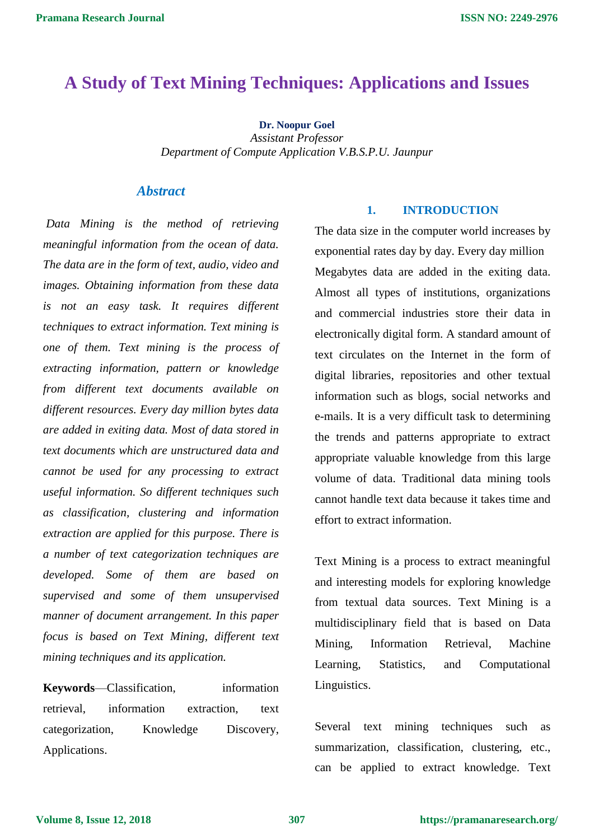### **A Study of Text Mining Techniques: Applications and Issues**

**Dr. Noopur Goel**

*Assistant Professor Department of Compute Application V.B.S.P.U. Jaunpur*

#### *Abstract*

*Data Mining is the method of retrieving meaningful information from the ocean of data. The data are in the form of text, audio, video and images. Obtaining information from these data is not an easy task. It requires different techniques to extract information. Text mining is one of them. Text mining is the process of extracting information, pattern or knowledge from different text documents available on different resources. Every day million bytes data are added in exiting data. Most of data stored in text documents which are unstructured data and cannot be used for any processing to extract useful information. So different techniques such as classification, clustering and information extraction are applied for this purpose. There is a number of text categorization techniques are developed. Some of them are based on supervised and some of them unsupervised manner of document arrangement. In this paper focus is based on Text Mining, different text mining techniques and its application.*

**Keywords**—Classification, information retrieval, information extraction, text categorization, Knowledge Discovery, Applications.

#### **1. INTRODUCTION**

The data size in the computer world increases by exponential rates day by day. Every day million Megabytes data are added in the exiting data. Almost all types of institutions, organizations and commercial industries store their data in electronically digital form. A standard amount of text circulates on the Internet in the form of digital libraries, repositories and other textual information such as blogs, social networks and e-mails. It is a very difficult task to determining the trends and patterns appropriate to extract appropriate valuable knowledge from this large volume of data. Traditional data mining tools cannot handle text data because it takes time and effort to extract information.

Text Mining is a process to extract meaningful and interesting models for exploring knowledge from textual data sources. Text Mining is a multidisciplinary field that is based on Data Mining, Information Retrieval, Machine Learning, Statistics, and Computational Linguistics.

Several text mining techniques such as summarization, classification, clustering, etc., can be applied to extract knowledge. Text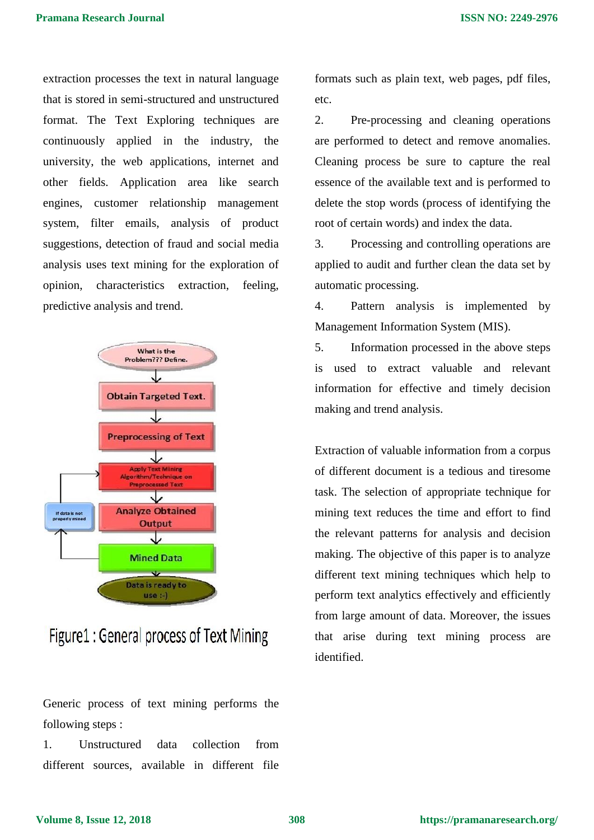extraction processes the text in natural language that is stored in semi-structured and unstructured format. The Text Exploring techniques are continuously applied in the industry, the university, the web applications, internet and other fields. Application area like search engines, customer relationship management system, filter emails, analysis of product suggestions, detection of fraud and social media analysis uses text mining for the exploration of opinion, characteristics extraction, feeling, predictive analysis and trend.



# Figure1: General process of Text Mining

Generic process of text mining performs the following steps :

1. Unstructured data collection from different sources, available in different file formats such as plain text, web pages, pdf files, etc.

2. Pre-processing and cleaning operations are performed to detect and remove anomalies. Cleaning process be sure to capture the real essence of the available text and is performed to delete the stop words (process of identifying the root of certain words) and index the data.

3. Processing and controlling operations are applied to audit and further clean the data set by automatic processing.

4. Pattern analysis is implemented by Management Information System (MIS).

5. Information processed in the above steps is used to extract valuable and relevant information for effective and timely decision making and trend analysis.

Extraction of valuable information from a corpus of different document is a tedious and tiresome task. The selection of appropriate technique for mining text reduces the time and effort to find the relevant patterns for analysis and decision making. The objective of this paper is to analyze different text mining techniques which help to perform text analytics effectively and efficiently from large amount of data. Moreover, the issues that arise during text mining process are identified.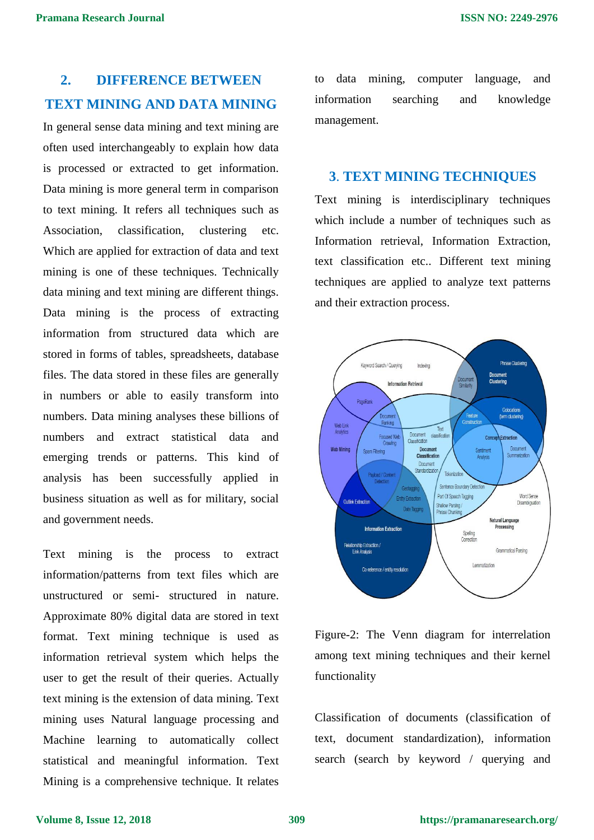## **2. DIFFERENCE BETWEEN TEXT MINING AND DATA MINING**

In general sense data mining and text mining are often used interchangeably to explain how data is processed or extracted to get information. Data mining is more general term in comparison to text mining. It refers all techniques such as Association, classification, clustering etc. Which are applied for extraction of data and text mining is one of these techniques. Technically data mining and text mining are different things. Data mining is the process of extracting information from structured data which are stored in forms of tables, spreadsheets, database files. The data stored in these files are generally in numbers or able to easily transform into numbers. Data mining analyses these billions of numbers and extract statistical data and emerging trends or patterns. This kind of analysis has been successfully applied in business situation as well as for military, social and government needs.

Text mining is the process to extract information/patterns from text files which are unstructured or semi- structured in nature. Approximate 80% digital data are stored in text format. Text mining technique is used as information retrieval system which helps the user to get the result of their queries. Actually text mining is the extension of data mining. Text mining uses Natural language processing and Machine learning to automatically collect statistical and meaningful information. Text Mining is a comprehensive technique. It relates

to data mining, computer language, and information searching and knowledge management.

#### **3**. **TEXT MINING TECHNIQUES**

Text mining is interdisciplinary techniques which include a number of techniques such as Information retrieval, Information Extraction, text classification etc.. Different text mining techniques are applied to analyze text patterns and their extraction process.





Classification of documents (classification of text, document standardization), information search (search by keyword / querying and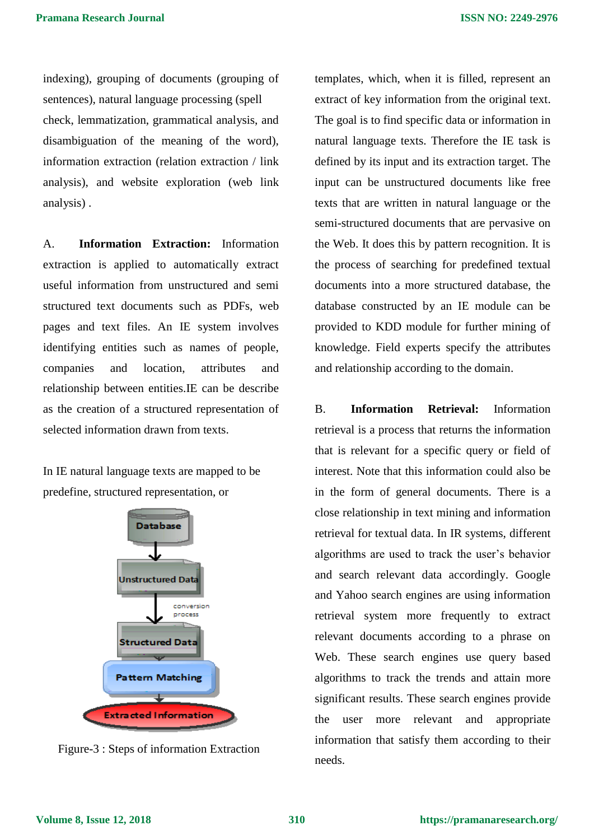indexing), grouping of documents (grouping of sentences), natural language processing (spell check, lemmatization, grammatical analysis, and disambiguation of the meaning of the word), information extraction (relation extraction / link analysis), and website exploration (web link analysis) .

A. **Information Extraction:** Information extraction is applied to automatically extract useful information from unstructured and semi structured text documents such as PDFs, web pages and text files. An IE system involves identifying entities such as names of people, companies and location, attributes and relationship between entities.IE can be describe as the creation of a structured representation of selected information drawn from texts.

In IE natural language texts are mapped to be predefine, structured representation, or



Figure-3 : Steps of information Extraction

templates, which, when it is filled, represent an extract of key information from the original text. The goal is to find specific data or information in natural language texts. Therefore the IE task is defined by its input and its extraction target. The input can be unstructured documents like free texts that are written in natural language or the semi-structured documents that are pervasive on the Web. It does this by pattern recognition. It is the process of searching for predefined textual documents into a more structured database, the database constructed by an IE module can be provided to KDD module for further mining of knowledge. Field experts specify the attributes and relationship according to the domain.

B. **Information Retrieval:** Information retrieval is a process that returns the information that is relevant for a specific query or field of interest. Note that this information could also be in the form of general documents. There is a close relationship in text mining and information retrieval for textual data. In IR systems, different algorithms are used to track the user's behavior and search relevant data accordingly. Google and Yahoo search engines are using information retrieval system more frequently to extract relevant documents according to a phrase on Web. These search engines use query based algorithms to track the trends and attain more significant results. These search engines provide the user more relevant and appropriate information that satisfy them according to their needs.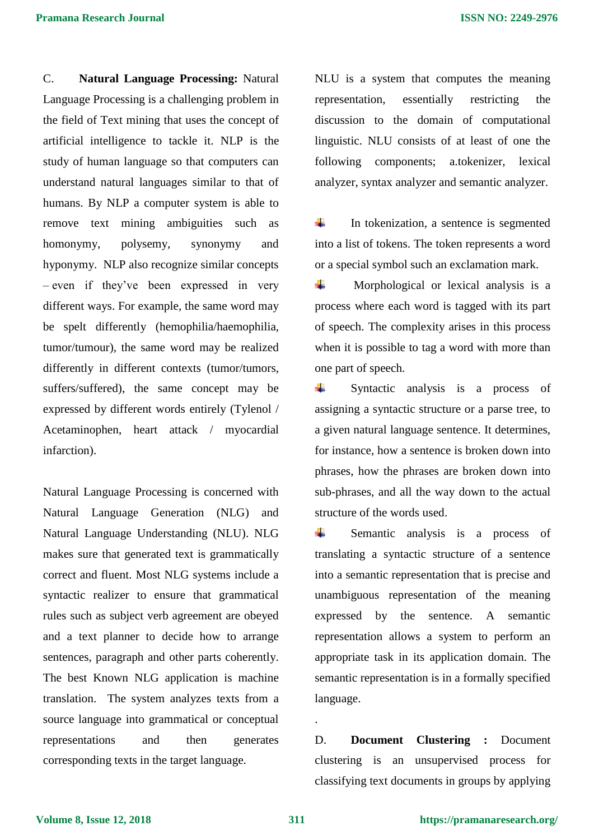C. **Natural Language Processing:** Natural Language Processing is a challenging problem in the field of Text mining that uses the concept of artificial intelligence to tackle it. NLP is the study of human language so that computers can understand natural languages similar to that of humans. By NLP a computer system is able to remove text mining ambiguities such as homonymy, polysemy, synonymy and hyponymy. NLP also recognize similar concepts – even if they've been expressed in very different ways. For example, the same word may be spelt differently (hemophilia/haemophilia, tumor/tumour), the same word may be realized differently in different contexts (tumor/tumors, suffers/suffered), the same concept may be expressed by different words entirely (Tylenol / Acetaminophen, heart attack / myocardial infarction).

Natural Language Processing is concerned with Natural Language Generation (NLG) and Natural Language Understanding (NLU). NLG makes sure that generated text is grammatically correct and fluent. Most NLG systems include a syntactic realizer to ensure that grammatical rules such as subject verb agreement are obeyed and a text planner to decide how to arrange sentences, paragraph and other parts coherently. The best Known NLG application is machine translation. The system analyzes texts from a source language into grammatical or conceptual representations and then generates corresponding texts in the target language.

NLU is a system that computes the meaning representation, essentially restricting the discussion to the domain of computational linguistic. NLU consists of at least of one the following components; a.tokenizer, lexical analyzer, syntax analyzer and semantic analyzer.

÷ In tokenization, a sentence is segmented into a list of tokens. The token represents a word or a special symbol such an exclamation mark.

÷ Morphological or lexical analysis is a process where each word is tagged with its part of speech. The complexity arises in this process when it is possible to tag a word with more than one part of speech.

÷ Syntactic analysis is a process of assigning a syntactic structure or a parse tree, to a given natural language sentence. It determines, for instance, how a sentence is broken down into phrases, how the phrases are broken down into sub-phrases, and all the way down to the actual structure of the words used.

÷ Semantic analysis is a process of translating a syntactic structure of a sentence into a semantic representation that is precise and unambiguous representation of the meaning expressed by the sentence. A semantic representation allows a system to perform an appropriate task in its application domain. The semantic representation is in a formally specified language.

D. **Document Clustering :** Document clustering is an unsupervised process for classifying text documents in groups by applying

.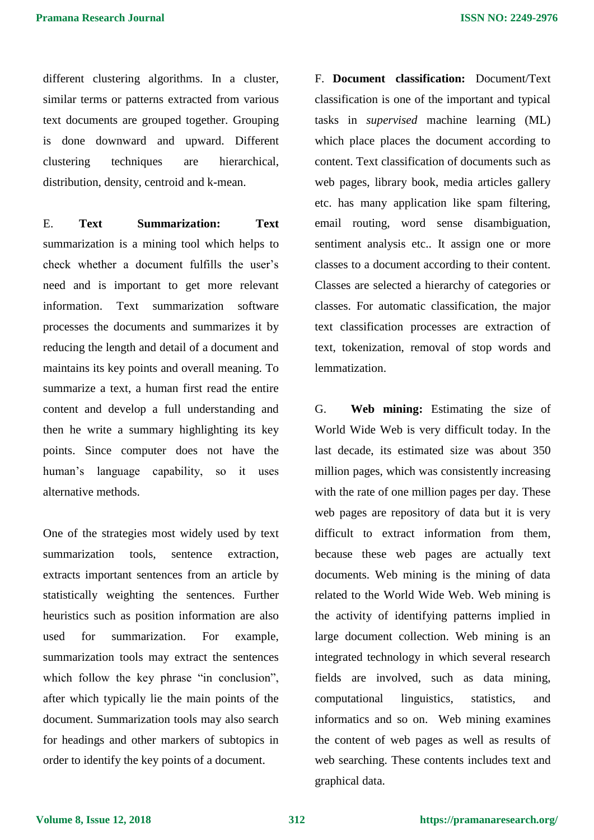different clustering algorithms. In a cluster, similar terms or patterns extracted from various text documents are grouped together. Grouping is done downward and upward. Different clustering techniques are hierarchical, distribution, density, centroid and k-mean.

E. **Text Summarization: Text** summarization is a mining tool which helps to check whether a document fulfills the user's need and is important to get more relevant information. Text summarization software processes the documents and summarizes it by reducing the length and detail of a document and maintains its key points and overall meaning. To summarize a text, a human first read the entire content and develop a full understanding and then he write a summary highlighting its key points. Since computer does not have the human's language capability, so it uses alternative methods.

One of the strategies most widely used by text summarization tools, sentence extraction, extracts important sentences from an article by statistically weighting the sentences. Further heuristics such as position information are also used for summarization. For example, summarization tools may extract the sentences which follow the key phrase "in conclusion", after which typically lie the main points of the document. Summarization tools may also search for headings and other markers of subtopics in order to identify the key points of a document.

F. **Document classification:** Document/Text classification is one of the important and typical tasks in *supervised* machine learning (ML) which place places the document according to content. Text classification of documents such as web pages, library book, media articles gallery etc. has many application like spam filtering, email routing, word sense disambiguation, sentiment analysis etc.. It assign one or more classes to a document according to their content. Classes are selected a hierarchy of categories or classes. For automatic classification, the major text classification processes are extraction of text, tokenization, removal of stop words and lemmatization.

G. **Web mining:** Estimating the size of World Wide Web is very difficult today. In the last decade, its estimated size was about 350 million pages, which was consistently increasing with the rate of one million pages per day. These web pages are repository of data but it is very difficult to extract information from them, because these web pages are actually text documents. Web mining is the mining of data related to the World Wide Web. Web mining is the activity of identifying patterns implied in large document collection. Web mining is an integrated technology in which several research fields are involved, such as data mining, computational linguistics, statistics, and informatics and so on. Web mining examines the content of web pages as well as results of web searching. These contents includes text and graphical data.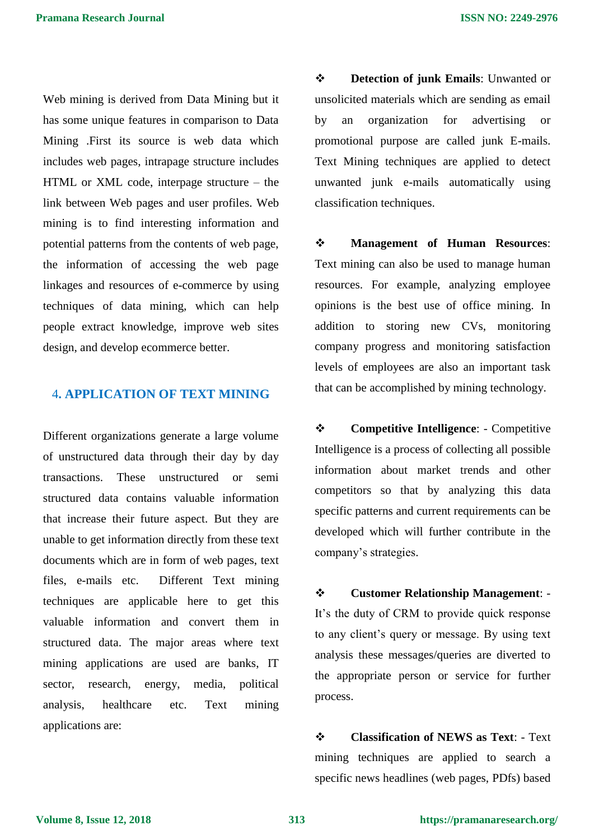Web mining is derived from Data Mining but it has some unique features in comparison to Data Mining .First its source is web data which includes web pages, intrapage structure includes HTML or XML code, interpage structure – the link between Web pages and user profiles. Web mining is to find interesting information and potential patterns from the contents of web page, the information of accessing the web page linkages and resources of e-commerce by using techniques of data mining, which can help people extract knowledge, improve web sites design, and develop ecommerce better.

#### 4**. APPLICATION OF TEXT MINING**

Different organizations generate a large volume of unstructured data through their day by day transactions. These unstructured or semi structured data contains valuable information that increase their future aspect. But they are unable to get information directly from these text documents which are in form of web pages, text files, e-mails etc. Different Text mining techniques are applicable here to get this valuable information and convert them in structured data. The major areas where text mining applications are used are banks, IT sector, research, energy, media, political analysis, healthcare etc. Text mining applications are:

 **Detection of junk Emails**: Unwanted or unsolicited materials which are sending as email by an organization for advertising or promotional purpose are called junk E-mails. Text Mining techniques are applied to detect unwanted junk e-mails automatically using classification techniques.

 **Management of Human Resources**: Text mining can also be used to manage human resources. For example, analyzing employee opinions is the best use of office mining. In addition to storing new CVs, monitoring company progress and monitoring satisfaction levels of employees are also an important task that can be accomplished by mining technology.

 **Competitive Intelligence**: - Competitive Intelligence is a process of collecting all possible information about market trends and other competitors so that by analyzing this data specific patterns and current requirements can be developed which will further contribute in the company's strategies.

 **Customer Relationship Management**: - It's the duty of CRM to provide quick response to any client's query or message. By using text analysis these messages/queries are diverted to the appropriate person or service for further process.

 **Classification of NEWS as Text**: - Text mining techniques are applied to search a specific news headlines (web pages, PDfs) based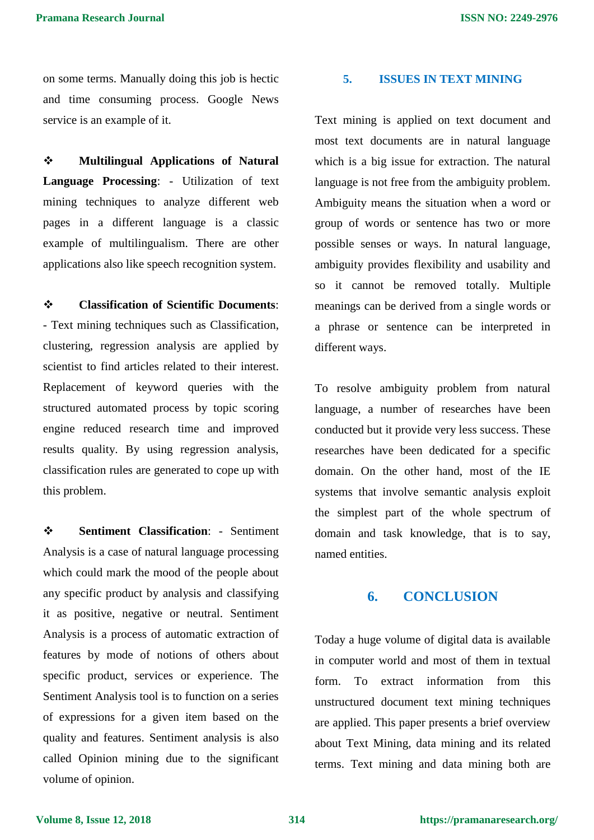on some terms. Manually doing this job is hectic and time consuming process. Google News service is an example of it.

 **Multilingual Applications of Natural Language Processing**: - Utilization of text mining techniques to analyze different web pages in a different language is a classic example of multilingualism. There are other applications also like speech recognition system.

 **Classification of Scientific Documents**: - Text mining techniques such as Classification, clustering, regression analysis are applied by scientist to find articles related to their interest. Replacement of keyword queries with the structured automated process by topic scoring engine reduced research time and improved results quality. By using regression analysis, classification rules are generated to cope up with this problem.

 **Sentiment Classification**: - Sentiment Analysis is a case of natural language processing which could mark the mood of the people about any specific product by analysis and classifying it as positive, negative or neutral. Sentiment Analysis is a process of automatic extraction of features by mode of notions of others about specific product, services or experience. The Sentiment Analysis tool is to function on a series of expressions for a given item based on the quality and features. Sentiment analysis is also called Opinion mining due to the significant volume of opinion.

#### **5. ISSUES IN TEXT MINING**

Text mining is applied on text document and most text documents are in natural language which is a big issue for extraction. The natural language is not free from the ambiguity problem. Ambiguity means the situation when a word or group of words or sentence has two or more possible senses or ways. In natural language, ambiguity provides flexibility and usability and so it cannot be removed totally. Multiple meanings can be derived from a single words or a phrase or sentence can be interpreted in different ways.

To resolve ambiguity problem from natural language, a number of researches have been conducted but it provide very less success. These researches have been dedicated for a specific domain. On the other hand, most of the IE systems that involve semantic analysis exploit the simplest part of the whole spectrum of domain and task knowledge, that is to say, named entities.

#### **6. CONCLUSION**

Today a huge volume of digital data is available in computer world and most of them in textual form. To extract information from this unstructured document text mining techniques are applied. This paper presents a brief overview about Text Mining, data mining and its related terms. Text mining and data mining both are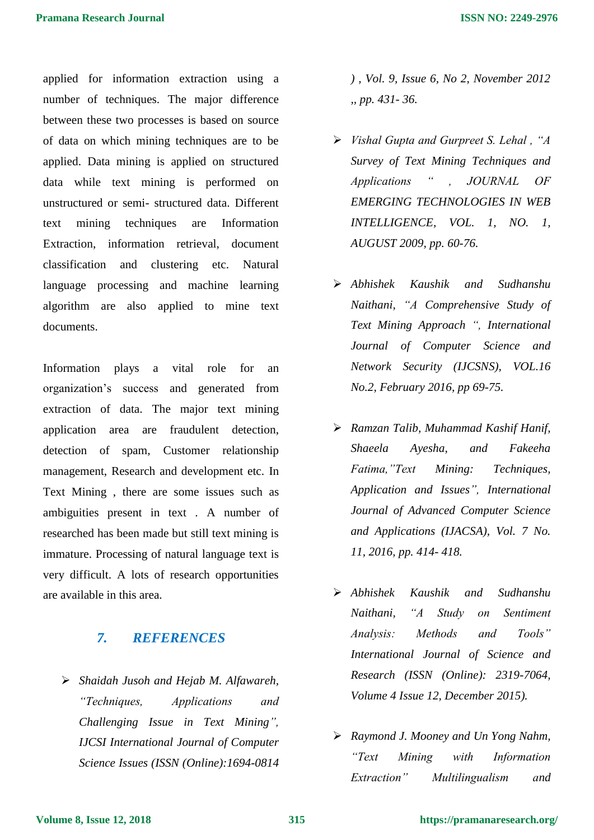applied for information extraction using a number of techniques. The major difference between these two processes is based on source of data on which mining techniques are to be applied. Data mining is applied on structured data while text mining is performed on unstructured or semi- structured data. Different text mining techniques are Information Extraction, information retrieval, document classification and clustering etc. Natural language processing and machine learning algorithm are also applied to mine text documents.

Information plays a vital role for an organization's success and generated from extraction of data. The major text mining application area are fraudulent detection, detection of spam, Customer relationship management, Research and development etc. In Text Mining , there are some issues such as ambiguities present in text . A number of researched has been made but still text mining is immature. Processing of natural language text is very difficult. A lots of research opportunities are available in this area.

### *7. REFERENCES*

 *Shaidah Jusoh and Hejab M. Alfawareh, "Techniques, Applications and Challenging Issue in Text Mining", IJCSI International Journal of Computer Science Issues (ISSN (Online):1694-0814* 

*) , Vol. 9, Issue 6, No 2, November 2012 ,, pp. 431- 36.*

- *Vishal Gupta and Gurpreet S. Lehal , "A Survey of Text Mining Techniques and Applications " , JOURNAL OF EMERGING TECHNOLOGIES IN WEB INTELLIGENCE, VOL. 1, NO. 1, AUGUST 2009, pp. 60-76.*
- *Abhishek Kaushik and Sudhanshu Naithani, "A Comprehensive Study of Text Mining Approach ", International Journal of Computer Science and Network Security (IJCSNS), VOL.16 No.2, February 2016, pp 69-75.*
- *Ramzan Talib, Muhammad Kashif Hanif, Shaeela Ayesha, and Fakeeha Fatima,"Text Mining: Techniques, Application and Issues", International Journal of Advanced Computer Science and Applications (IJACSA), Vol. 7 No. 11, 2016, pp. 414- 418.*
- *Abhishek Kaushik and Sudhanshu Naithani, "A Study on Sentiment Analysis: Methods and Tools" International Journal of Science and Research (ISSN (Online): 2319-7064, Volume 4 Issue 12, December 2015).*
- *Raymond J. Mooney and Un Yong Nahm, "Text Mining with Information Extraction" Multilingualism and*